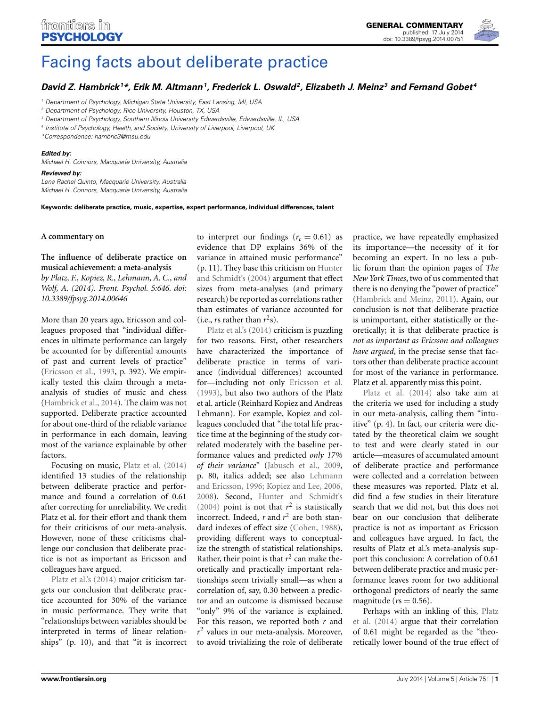

# [Facing facts about deliberate practice](http://www.frontiersin.org/journal/10.3389/fpsyg.2014.00751/full)

# *[David Z. Hambrick](http://community.frontiersin.org/people/u/94880)1 \*, Erik M. Altmann1, [Frederick L. Oswald](http://community.frontiersin.org/people/u/28799)2, [Elizabeth J. Meinz](http://community.frontiersin.org/people/u/168890) <sup>3</sup> and [Fernand Gobet](http://community.frontiersin.org/people/u/32115) <sup>4</sup>*

*<sup>1</sup> Department of Psychology, Michigan State University, East Lansing, MI, USA*

*<sup>2</sup> Department of Psychology, Rice University, Houston, TX, USA*

*<sup>3</sup> Department of Psychology, Southern Illinois University Edwardsville, Edwardsville, IL, USA*

*<sup>4</sup> Institute of Psychology, Health, and Society, University of Liverpool, Liverpool, UK*

*\*Correspondence: [hambric3@msu.edu](mailto:hambric3@msu.edu)*

### *Edited by:*

*Michael H. Connors, Macquarie University, Australia*

# *Reviewed by:*

*Lena Rachel Quinto, Macquarie University, Australia Michael H. Connors, Macquarie University, Australia*

**Keywords: deliberate practice, music, expertise, expert performance, individual differences, talent**

#### **A commentary on**

**[The influence of deliberate practice on](http://www.frontiersin.org/Journal/10.3389/fpsyg.2014.00646/abstract) [musical achievement: a meta-analysis](http://www.frontiersin.org/Journal/10.3389/fpsyg.2014.00646/abstract)**

*by Platz, F., Kopiez, R., Lehmann, A. C., and Wolf, A. (2014). Front. Psychol. 5:646. doi: 10.3389/fpsyg.2014.00646*

More than 20 years ago, Ericsson and colleagues proposed that "individual differences in ultimate performance can largely be accounted for by differential amounts of past and current levels of practice" [\(Ericsson et al., 1993,](#page-1-0) p. 392). We empirically tested this claim through a metaanalysis of studies of music and chess [\(Hambrick et al.](#page-1-1), [2014\)](#page-1-1). The claim was not supported. Deliberate practice accounted for about one-third of the reliable variance in performance in each domain, leaving most of the variance explainable by other factors.

Focusing on music, [Platz et al.](#page-1-2) [\(2014](#page-1-2)) identified 13 studies of the relationship between deliberate practice and performance and found a correlation of 0.61 after correcting for unreliability. We credit Platz et al. for their effort and thank them for their criticisms of our meta-analysis. However, none of these criticisms challenge our conclusion that deliberate practice is not as important as Ericsson and [colleagues](#page-1-2) [have](#page-1-2) argued.

Platz et al.'s [\(2014\)](#page-1-2) major criticism targets our conclusion that deliberate practice accounted for 30% of the variance in music performance. They write that "relationships between variables should be interpreted in terms of linear relationships" (p. 10), and that "it is incorrect to interpret our findings  $(r_c = 0.61)$  as evidence that DP explains 36% of the variance in attained music performance" (p. 11). They [base this criticism on](#page-1-3) Hunter and Schmidt's [\(2004\)](#page-1-3) argument that effect sizes from meta-analyses (and primary research) be reported as correlations rather than estimates of variance accounted for (i.e., *r[s](#page-1-2)* [rather](#page-1-2) [t](#page-1-2)han  $r^2$ s).

Platz et al.'s [\(2014\)](#page-1-2) criticism is puzzling for two reasons. First, other researchers have characterized the importance of deliberate practice in terms of variance (individual differences) accounted for—including not only [Ericsson et al.](#page-1-0) [\(1993\)](#page-1-0), but also two authors of the Platz et al. article (Reinhard Kopiez and Andreas Lehmann). For example, Kopiez and colleagues concluded that "the total life practice time at the beginning of the study correlated moderately with the baseline performance values and predicted *only 17% of their variance*" [\(Jabusch et al.](#page-1-4), [2009,](#page-1-4) p. 80, italic[s added; see also](#page-1-5) Lehmann and Ericsson, [1996](#page-1-5); [Kopiez and Lee](#page-1-6), [2006,](#page-1-6) [2008](#page-1-7)). Second, [Hunter and Schmidt's](#page-1-3) [\(2004\)](#page-1-3) point is not that  $r^2$  is statistically incorrect. Indeed,  $r$  and  $r^2$  are both standard indexes of effect size [\(Cohen, 1988](#page-1-8)), providing different ways to conceptualize the strength of statistical relationships. Rather, their point is that  $r^2$  can make theoretically and practically important relationships seem trivially small—as when a correlation of, say, 0.30 between a predictor and an outcome is dismissed because "only" 9% of the variance is explained. For this reason, we reported both *r* and  $r^2$  values in our meta-analysis. Moreover, to avoid trivializing the role of deliberate

practice, we have repeatedly emphasized its importance—the necessity of it for becoming an expert. In no less a public forum than the opinion pages of *The New York Times*, two of us commented that there is no denying the "power of practice" [\(Hambrick and Meinz, 2011\)](#page-1-9). Again, our conclusion is not that deliberate practice is unimportant, either statistically or theoretically; it is that deliberate practice is *not as important as Ericsson and colleagues have argued*, in the precise sense that factors other than deliberate practice account for most of the variance in performance. [Platz](#page-1-2) [et](#page-1-2) [al.](#page-1-2) [appa](#page-1-2)rently miss this point.

Platz et al. [\(2014\)](#page-1-2) also take aim at the criteria we used for including a study in our meta-analysis, calling them "intuitive" (p. 4). In fact, our criteria were dictated by the theoretical claim we sought to test and were clearly stated in our article—measures of accumulated amount of deliberate practice and performance were collected and a correlation between these measures was reported. Platz et al. did find a few studies in their literature search that we did not, but this does not bear on our conclusion that deliberate practice is not as important as Ericsson and colleagues have argued. In fact, the results of Platz et al.'s meta-analysis support this conclusion: A correlation of 0.61 between deliberate practice and music performance leaves room for two additional orthogonal predictors of nearly the same magnitude ( $rs = 0.56$ ).

P[erhaps with an inkling of this,](#page-1-2) Platz et al. [\(2014\)](#page-1-2) argue that their correlation of 0.61 might be regarded as the "theoretically lower bound of the true effect of